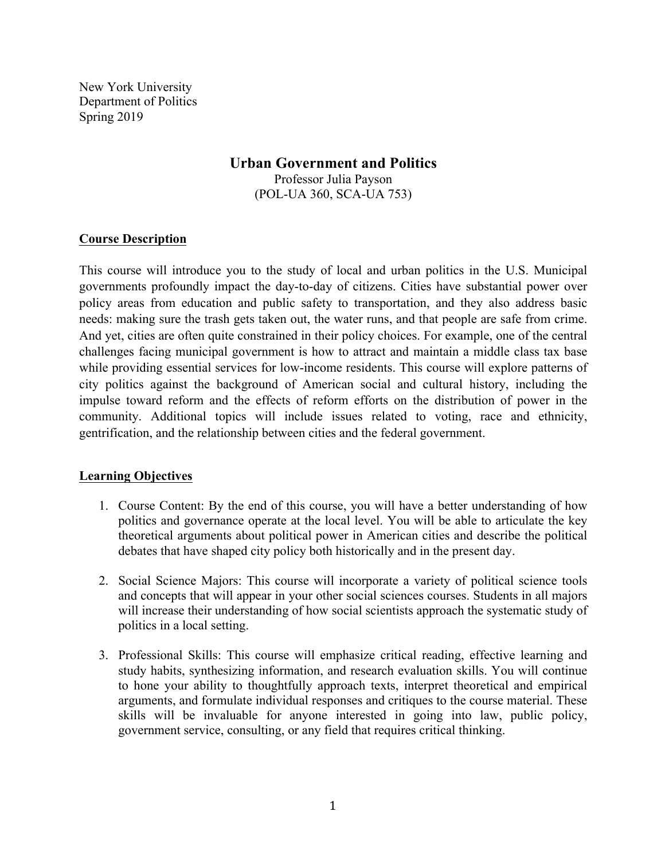New York University Department of Politics Spring 2019

# **Urban Government and Politics**

Professor Julia Payson (POL-UA 360, SCA-UA 753)

## **Course Description**

This course will introduce you to the study of local and urban politics in the U.S. Municipal governments profoundly impact the day-to-day of citizens. Cities have substantial power over policy areas from education and public safety to transportation, and they also address basic needs: making sure the trash gets taken out, the water runs, and that people are safe from crime. And yet, cities are often quite constrained in their policy choices. For example, one of the central challenges facing municipal government is how to attract and maintain a middle class tax base while providing essential services for low-income residents. This course will explore patterns of city politics against the background of American social and cultural history, including the impulse toward reform and the effects of reform efforts on the distribution of power in the community. Additional topics will include issues related to voting, race and ethnicity, gentrification, and the relationship between cities and the federal government.

### **Learning Objectives**

- 1. Course Content: By the end of this course, you will have a better understanding of how politics and governance operate at the local level. You will be able to articulate the key theoretical arguments about political power in American cities and describe the political debates that have shaped city policy both historically and in the present day.
- 2. Social Science Majors: This course will incorporate a variety of political science tools and concepts that will appear in your other social sciences courses. Students in all majors will increase their understanding of how social scientists approach the systematic study of politics in a local setting.
- 3. Professional Skills: This course will emphasize critical reading, effective learning and study habits, synthesizing information, and research evaluation skills. You will continue to hone your ability to thoughtfully approach texts, interpret theoretical and empirical arguments, and formulate individual responses and critiques to the course material. These skills will be invaluable for anyone interested in going into law, public policy, government service, consulting, or any field that requires critical thinking.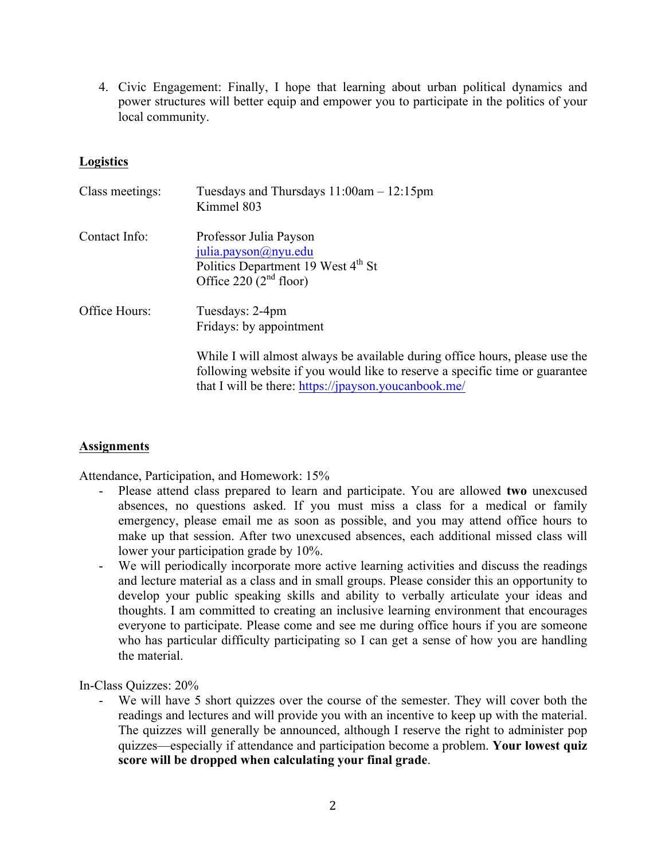4. Civic Engagement: Finally, I hope that learning about urban political dynamics and power structures will better equip and empower you to participate in the politics of your local community.

## **Logistics**

| Class meetings: | Tuesdays and Thursdays $11:00$ am $-12:15$ pm<br>Kimmel 803                                                                                                                                                        |
|-----------------|--------------------------------------------------------------------------------------------------------------------------------------------------------------------------------------------------------------------|
| Contact Info:   | Professor Julia Payson<br>julia.payson@nyu.edu<br>Politics Department 19 West 4 <sup>th</sup> St<br>Office 220 $(2nd$ floor)                                                                                       |
| Office Hours:   | Tuesdays: 2-4pm<br>Fridays: by appointment                                                                                                                                                                         |
|                 | While I will almost always be available during office hours, please use the<br>following website if you would like to reserve a specific time or guarantee<br>that I will be there: https://jpayson.youcanbook.me/ |

### **Assignments**

Attendance, Participation, and Homework: 15%

- Please attend class prepared to learn and participate. You are allowed **two** unexcused absences, no questions asked. If you must miss a class for a medical or family emergency, please email me as soon as possible, and you may attend office hours to make up that session. After two unexcused absences, each additional missed class will lower your participation grade by 10%.
- We will periodically incorporate more active learning activities and discuss the readings and lecture material as a class and in small groups. Please consider this an opportunity to develop your public speaking skills and ability to verbally articulate your ideas and thoughts. I am committed to creating an inclusive learning environment that encourages everyone to participate. Please come and see me during office hours if you are someone who has particular difficulty participating so I can get a sense of how you are handling the material.

In-Class Quizzes: 20%

- We will have 5 short quizzes over the course of the semester. They will cover both the readings and lectures and will provide you with an incentive to keep up with the material. The quizzes will generally be announced, although I reserve the right to administer pop quizzes—especially if attendance and participation become a problem. **Your lowest quiz score will be dropped when calculating your final grade**.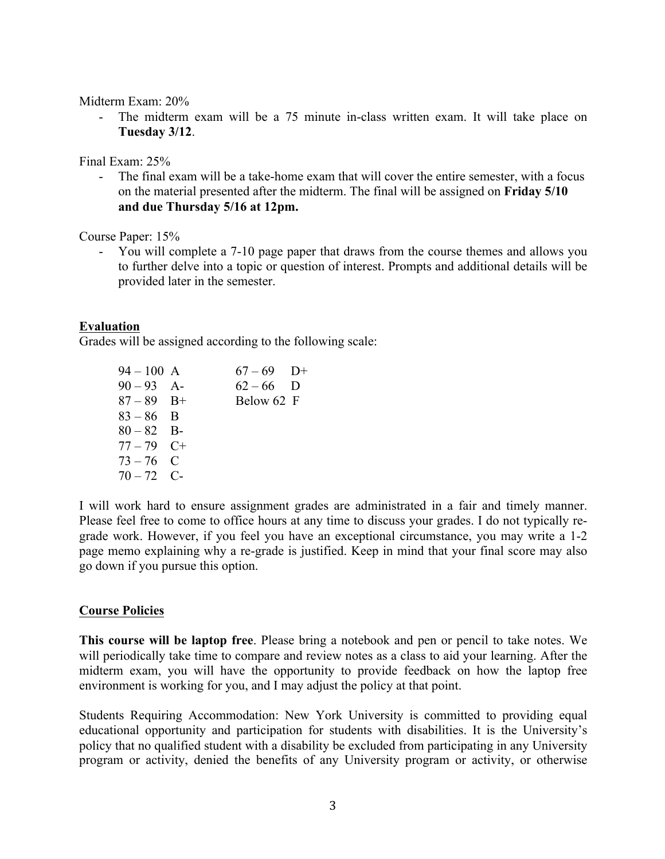#### Midterm Exam: 20%

- The midterm exam will be a 75 minute in-class written exam. It will take place on **Tuesday 3/12**.

Final Exam: 25%

- The final exam will be a take-home exam that will cover the entire semester, with a focus on the material presented after the midterm. The final will be assigned on **Friday 5/10 and due Thursday 5/16 at 12pm.**

Course Paper: 15%

- You will complete a 7-10 page paper that draws from the course themes and allows you to further delve into a topic or question of interest. Prompts and additional details will be provided later in the semester.

### **Evaluation**

Grades will be assigned according to the following scale:

| $94 - 100$ A | $67-69$ D+  |  |
|--------------|-------------|--|
| $90 - 93$ A- | $62 - 66$ D |  |
| $87 - 89$ B+ | Below 62 F  |  |
| $83 - 86$ B  |             |  |
| $80 - 82$ B- |             |  |
| $77 - 79$ C+ |             |  |
| $73 - 76$ C  |             |  |
| $70 - 72$ C- |             |  |
|              |             |  |

I will work hard to ensure assignment grades are administrated in a fair and timely manner. Please feel free to come to office hours at any time to discuss your grades. I do not typically regrade work. However, if you feel you have an exceptional circumstance, you may write a 1-2 page memo explaining why a re-grade is justified. Keep in mind that your final score may also go down if you pursue this option.

### **Course Policies**

**This course will be laptop free**. Please bring a notebook and pen or pencil to take notes. We will periodically take time to compare and review notes as a class to aid your learning. After the midterm exam, you will have the opportunity to provide feedback on how the laptop free environment is working for you, and I may adjust the policy at that point.

Students Requiring Accommodation: New York University is committed to providing equal educational opportunity and participation for students with disabilities. It is the University's policy that no qualified student with a disability be excluded from participating in any University program or activity, denied the benefits of any University program or activity, or otherwise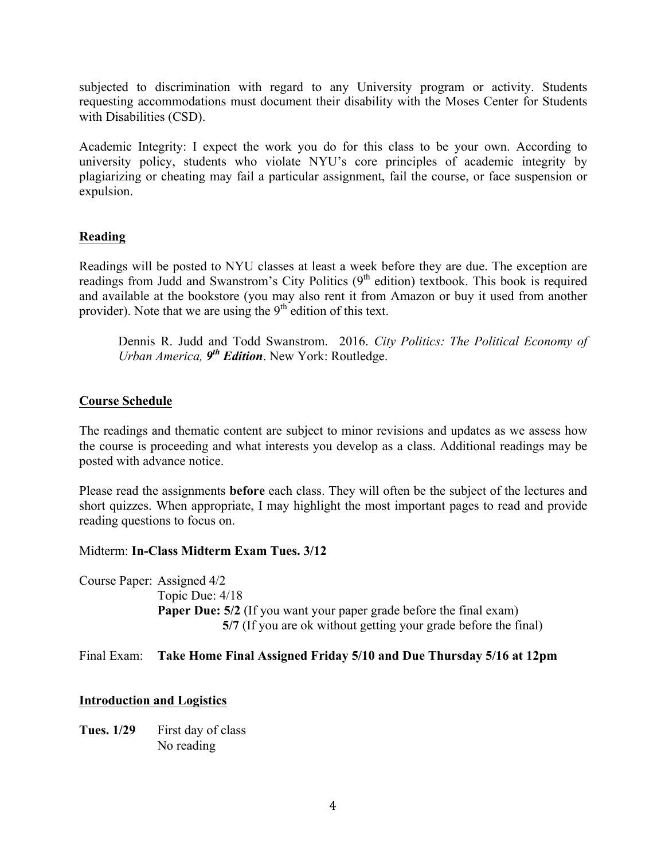subjected to discrimination with regard to any University program or activity. Students requesting accommodations must document their disability with the Moses Center for Students with Disabilities (CSD).

Academic Integrity: I expect the work you do for this class to be your own. According to university policy, students who violate NYU's core principles of academic integrity by plagiarizing or cheating may fail a particular assignment, fail the course, or face suspension or expulsion.

# **Reading**

Readings will be posted to NYU classes at least a week before they are due. The exception are readings from Judd and Swanstrom's City Politics  $(9<sup>th</sup>$  edition) textbook. This book is required and available at the bookstore (you may also rent it from Amazon or buy it used from another provider). Note that we are using the  $9<sup>th</sup>$  edition of this text.

Dennis R. Judd and Todd Swanstrom. 2016. *City Politics: The Political Economy of Urban America, 9th Edition*. New York: Routledge.

## **Course Schedule**

The readings and thematic content are subject to minor revisions and updates as we assess how the course is proceeding and what interests you develop as a class. Additional readings may be posted with advance notice.

Please read the assignments **before** each class. They will often be the subject of the lectures and short quizzes. When appropriate, I may highlight the most important pages to read and provide reading questions to focus on.

Midterm: **In-Class Midterm Exam Tues. 3/12**

Course Paper: Assigned 4/2 Topic Due: 4/18 **Paper Due: 5/2** (If you want your paper grade before the final exam) **5/7** (If you are ok without getting your grade before the final)

### Final Exam: **Take Home Final Assigned Friday 5/10 and Due Thursday 5/16 at 12pm**

### **Introduction and Logistics**

Tues. 1/29 First day of class No reading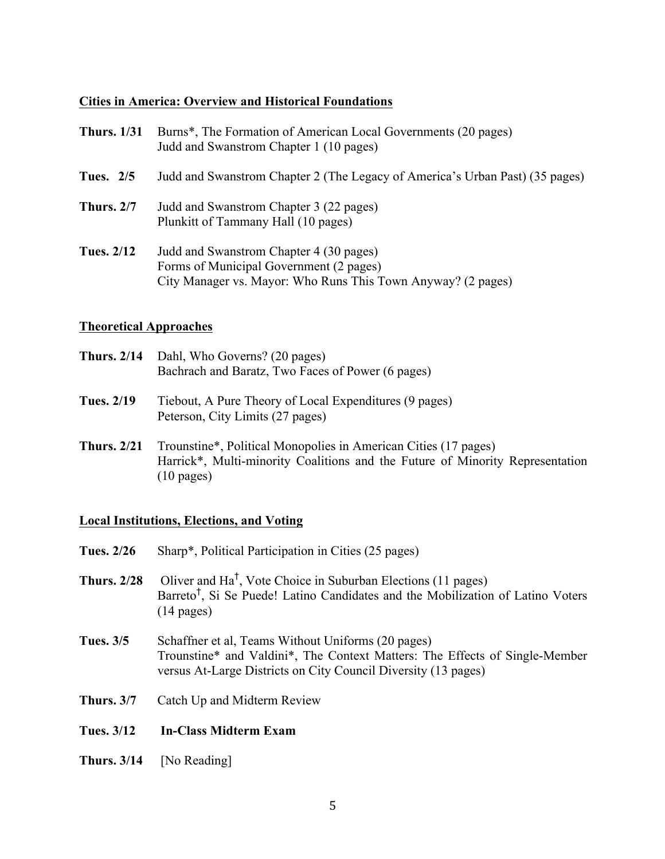### **Cities in America: Overview and Historical Foundations**

| <b>Thurs.</b> 1/31 | Burns <sup>*</sup> , The Formation of American Local Governments (20 pages)<br>Judd and Swanstrom Chapter 1 (10 pages)                             |
|--------------------|----------------------------------------------------------------------------------------------------------------------------------------------------|
| Tues. 2/5          | Judd and Swanstrom Chapter 2 (The Legacy of America's Urban Past) (35 pages)                                                                       |
| <b>Thurs. 2/7</b>  | Judd and Swanstrom Chapter 3 (22 pages)<br>Plunkitt of Tammany Hall (10 pages)                                                                     |
| <b>Tues. 2/12</b>  | Judd and Swanstrom Chapter 4 (30 pages)<br>Forms of Municipal Government (2 pages)<br>City Manager vs. Mayor: Who Runs This Town Anyway? (2 pages) |

#### **Theoretical Approaches**

| <b>Thurs. 2/14</b> Dahl, Who Governs? (20 pages)  |
|---------------------------------------------------|
| Bachrach and Baratz, Two Faces of Power (6 pages) |

- **Tues. 2/19** Tiebout, A Pure Theory of Local Expenditures (9 pages) Peterson, City Limits (27 pages)
- **Thurs. 2/21** Trounstine\*, Political Monopolies in American Cities (17 pages) Harrick\*, Multi-minority Coalitions and the Future of Minority Representation (10 pages)

### **Local Institutions, Elections, and Voting**

- **Tues. 2/26** Sharp\*, Political Participation in Cities (25 pages)
- **Thurs. 2/28** Oliver and Ha† , Vote Choice in Suburban Elections (11 pages) Barreto<sup>†</sup>, Si Se Puede! Latino Candidates and the Mobilization of Latino Voters (14 pages)
- **Tues. 3/5** Schaffner et al, Teams Without Uniforms (20 pages) Trounstine\* and Valdini\*, The Context Matters: The Effects of Single-Member versus At-Large Districts on City Council Diversity (13 pages)
- **Thurs. 3/7** Catch Up and Midterm Review
- **Tues. 3/12 In-Class Midterm Exam**
- **Thurs. 3/14** [No Reading]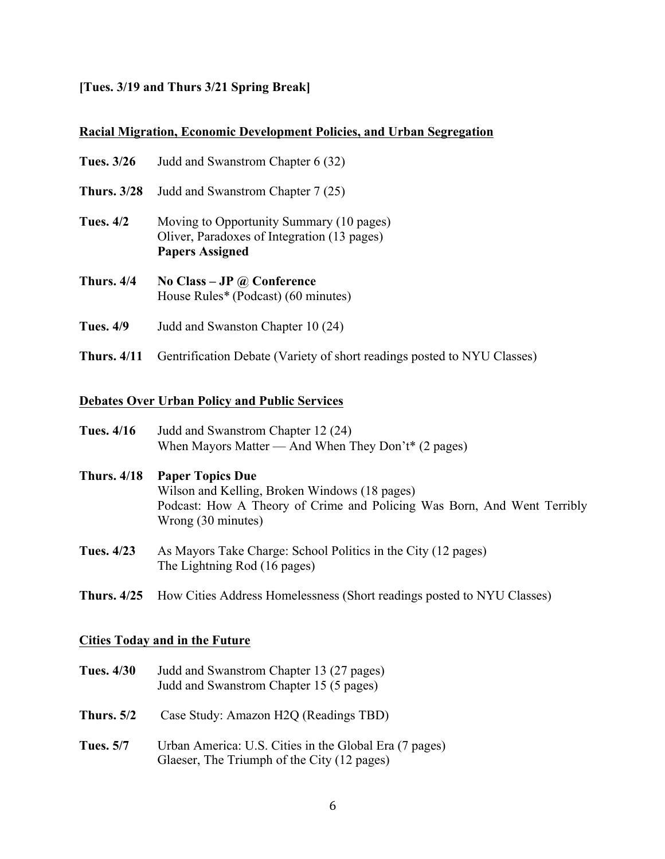## **[Tues. 3/19 and Thurs 3/21 Spring Break]**

### **Racial Migration, Economic Development Policies, and Urban Segregation**

| Tues. 3/26         | Judd and Swanstrom Chapter 6 (32)                                                                                 |
|--------------------|-------------------------------------------------------------------------------------------------------------------|
| <b>Thurs.</b> 3/28 | Judd and Swanstrom Chapter 7 (25)                                                                                 |
| <b>Tues.</b> 4/2   | Moving to Opportunity Summary (10 pages)<br>Oliver, Paradoxes of Integration (13 pages)<br><b>Papers Assigned</b> |
| Thurs, 4/4         | No Class – JP $\omega$ Conference<br>House Rules* (Podcast) (60 minutes)                                          |

- **Tues. 4/9** Judd and Swanston Chapter 10 (24)
- **Thurs. 4/11** Gentrification Debate (Variety of short readings posted to NYU Classes)

## **Debates Over Urban Policy and Public Services**

| <b>Tues.</b> 4/16  | Judd and Swanstrom Chapter 12 (24)<br>When Mayors Matter — And When They Don't* (2 pages)                                                                                 |
|--------------------|---------------------------------------------------------------------------------------------------------------------------------------------------------------------------|
| <b>Thurs.</b> 4/18 | <b>Paper Topics Due</b><br>Wilson and Kelling, Broken Windows (18 pages)<br>Podcast: How A Theory of Crime and Policing Was Born, And Went Terribly<br>Wrong (30 minutes) |
| Tues. 4/23         | As Mayors Take Charge: School Politics in the City (12 pages)<br>The Lightning Rod (16 pages)                                                                             |
|                    | <b>Thurs. 4/25</b> How Cities Address Homelessness (Short readings posted to NYU Classes)                                                                                 |

## **Cities Today and in the Future**

| <b>Tues. 4/30</b> | Judd and Swanstrom Chapter 13 (27 pages) |
|-------------------|------------------------------------------|
|                   | Judd and Swanstrom Chapter 15 (5 pages)  |

- **Thurs. 5/2** Case Study: Amazon H2Q (Readings TBD)
- **Tues. 5/7** Urban America: U.S. Cities in the Global Era (7 pages) Glaeser, The Triumph of the City (12 pages)